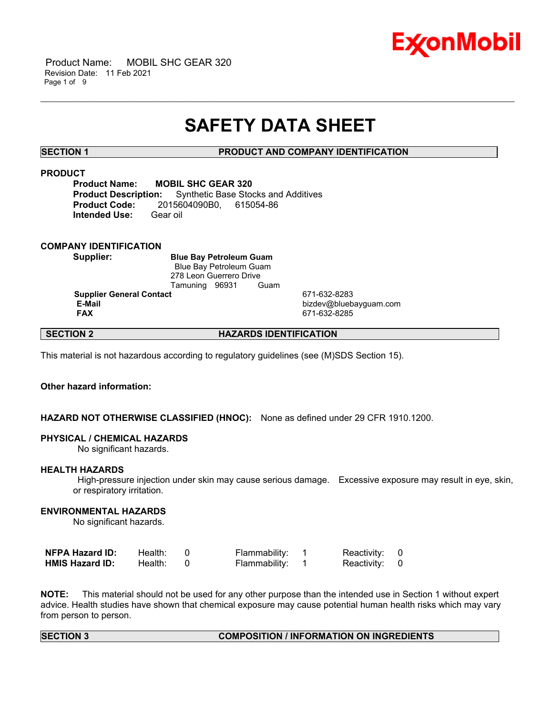

 Product Name: MOBIL SHC GEAR 320 Revision Date: 11 Feb 2021 Page 1 of 9

# **SAFETY DATA SHEET**

\_\_\_\_\_\_\_\_\_\_\_\_\_\_\_\_\_\_\_\_\_\_\_\_\_\_\_\_\_\_\_\_\_\_\_\_\_\_\_\_\_\_\_\_\_\_\_\_\_\_\_\_\_\_\_\_\_\_\_\_\_\_\_\_\_\_\_\_\_\_\_\_\_\_\_\_\_\_\_\_\_\_\_\_\_\_\_\_\_\_\_\_\_\_\_\_\_\_\_\_\_\_\_\_\_\_\_\_\_\_\_\_\_\_\_\_\_\_

# **SECTION 1 PRODUCT AND COMPANY IDENTIFICATION**

# **PRODUCT**

**Product Name: MOBIL SHC GEAR 320 Product Description:** Synthetic Base Stocks and Additives **Product Code:** 2015604090B0, 615054-86 **Intended Use:** Gear oil

# **COMPANY IDENTIFICATION**

**Supplier: Blue Bay Petroleum Guam** Blue Bay Petroleum Guam 278 Leon Guerrero Drive Tamuning 96931 Guam

**Supplier General Contact** 671-632-8283<br> **E-Mail** bizdev@blueb

 **E-Mail** bizdev@bluebayguam.com  **FAX** 671-632-8285

# **SECTION 2 HAZARDS IDENTIFICATION**

This material is not hazardous according to regulatory guidelines (see (M)SDS Section 15).

# **Other hazard information:**

# **HAZARD NOT OTHERWISE CLASSIFIED (HNOC):** None as defined under 29 CFR 1910.1200.

#### **PHYSICAL / CHEMICAL HAZARDS**

No significant hazards.

#### **HEALTH HAZARDS**

 High-pressure injection under skin may cause serious damage. Excessive exposure may result in eye, skin, or respiratory irritation.

# **ENVIRONMENTAL HAZARDS**

No significant hazards.

| <b>NFPA Hazard ID:</b> | Health: | Flammability: | Reactivity: 0 |  |
|------------------------|---------|---------------|---------------|--|
| <b>HMIS Hazard ID:</b> | Health: | Flammability: | Reactivity: 0 |  |

**NOTE:** This material should not be used for any other purpose than the intended use in Section 1 without expert advice. Health studies have shown that chemical exposure may cause potential human health risks which may vary from person to person.

# **SECTION 3 COMPOSITION / INFORMATION ON INGREDIENTS**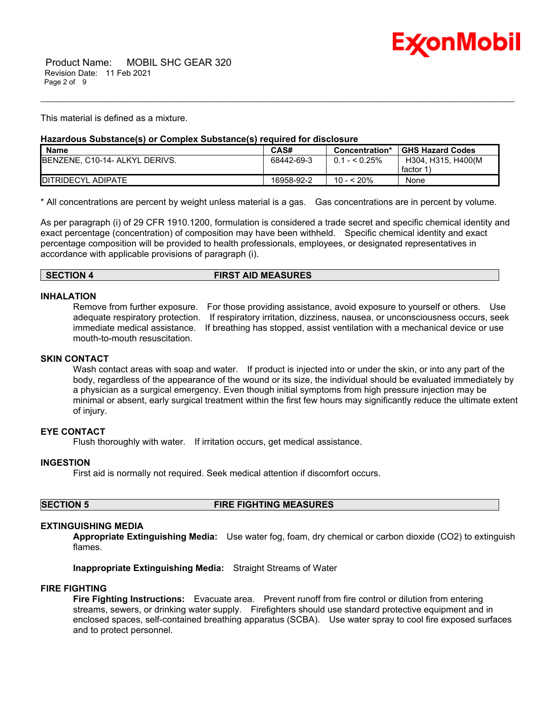

This material is defined as a mixture.

# **Hazardous Substance(s) or Complex Substance(s) required for disclosure**

| <b>Name</b>                            | CAS#       | Concentration*  | <b>GHS Hazard Codes</b> |
|----------------------------------------|------------|-----------------|-------------------------|
| <b>IBENZENE, C10-14- ALKYL DERIVS.</b> | 68442-69-3 | $0.1 -  0.25\%$ | H304. H315. H400(M      |
|                                        |            |                 | factor 1                |
| <b>IDITRIDECYL ADIPATE</b>             | 16958-92-2 | 10 - < 20%      | None                    |

\_\_\_\_\_\_\_\_\_\_\_\_\_\_\_\_\_\_\_\_\_\_\_\_\_\_\_\_\_\_\_\_\_\_\_\_\_\_\_\_\_\_\_\_\_\_\_\_\_\_\_\_\_\_\_\_\_\_\_\_\_\_\_\_\_\_\_\_\_\_\_\_\_\_\_\_\_\_\_\_\_\_\_\_\_\_\_\_\_\_\_\_\_\_\_\_\_\_\_\_\_\_\_\_\_\_\_\_\_\_\_\_\_\_\_\_\_\_

\* All concentrations are percent by weight unless material is a gas. Gas concentrations are in percent by volume.

As per paragraph (i) of 29 CFR 1910.1200, formulation is considered a trade secret and specific chemical identity and exact percentage (concentration) of composition may have been withheld. Specific chemical identity and exact percentage composition will be provided to health professionals, employees, or designated representatives in accordance with applicable provisions of paragraph (i).

### **SECTION 4 FIRST AID MEASURES**

#### **INHALATION**

Remove from further exposure. For those providing assistance, avoid exposure to yourself or others. Use adequate respiratory protection. If respiratory irritation, dizziness, nausea, or unconsciousness occurs, seek immediate medical assistance. If breathing has stopped, assist ventilation with a mechanical device or use mouth-to-mouth resuscitation.

# **SKIN CONTACT**

Wash contact areas with soap and water. If product is injected into or under the skin, or into any part of the body, regardless of the appearance of the wound or its size, the individual should be evaluated immediately by a physician as a surgical emergency. Even though initial symptoms from high pressure injection may be minimal or absent, early surgical treatment within the first few hours may significantly reduce the ultimate extent of injury.

# **EYE CONTACT**

Flush thoroughly with water. If irritation occurs, get medical assistance.

# **INGESTION**

First aid is normally not required. Seek medical attention if discomfort occurs.

**SECTION 5 FIRE FIGHTING MEASURES**

# **EXTINGUISHING MEDIA**

**Appropriate Extinguishing Media:** Use water fog, foam, dry chemical or carbon dioxide (CO2) to extinguish flames.

**Inappropriate Extinguishing Media:** Straight Streams of Water

#### **FIRE FIGHTING**

**Fire Fighting Instructions:** Evacuate area. Prevent runoff from fire control or dilution from entering streams, sewers, or drinking water supply. Firefighters should use standard protective equipment and in enclosed spaces, self-contained breathing apparatus (SCBA). Use water spray to cool fire exposed surfaces and to protect personnel.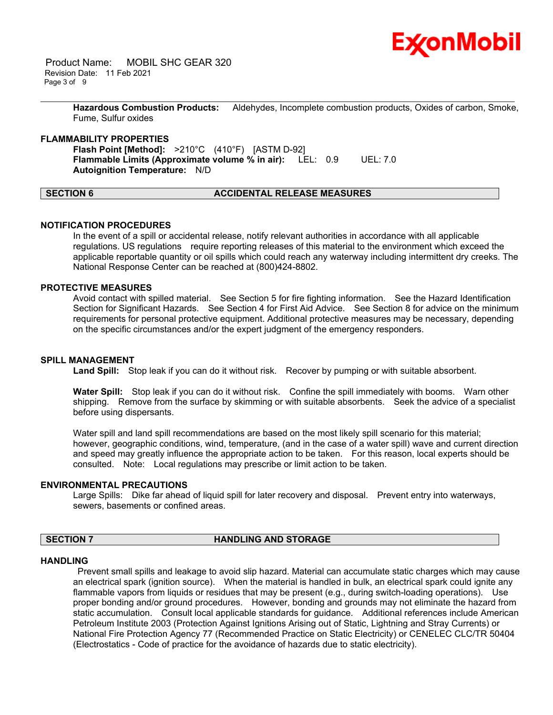

 Product Name: MOBIL SHC GEAR 320 Revision Date: 11 Feb 2021 Page 3 of 9

> **Hazardous Combustion Products:** Aldehydes, Incomplete combustion products, Oxides of carbon, Smoke, Fume, Sulfur oxides

\_\_\_\_\_\_\_\_\_\_\_\_\_\_\_\_\_\_\_\_\_\_\_\_\_\_\_\_\_\_\_\_\_\_\_\_\_\_\_\_\_\_\_\_\_\_\_\_\_\_\_\_\_\_\_\_\_\_\_\_\_\_\_\_\_\_\_\_\_\_\_\_\_\_\_\_\_\_\_\_\_\_\_\_\_\_\_\_\_\_\_\_\_\_\_\_\_\_\_\_\_\_\_\_\_\_\_\_\_\_\_\_\_\_\_\_\_\_

### **FLAMMABILITY PROPERTIES**

**Flash Point [Method]:** >210°C (410°F) [ASTM D-92] **Flammable Limits (Approximate volume % in air):** LEL: 0.9 UEL: 7.0 **Autoignition Temperature:** N/D

# **SECTION 6 ACCIDENTAL RELEASE MEASURES**

### **NOTIFICATION PROCEDURES**

In the event of a spill or accidental release, notify relevant authorities in accordance with all applicable regulations. US regulations require reporting releases of this material to the environment which exceed the applicable reportable quantity or oil spills which could reach any waterway including intermittent dry creeks. The National Response Center can be reached at (800)424-8802.

# **PROTECTIVE MEASURES**

Avoid contact with spilled material. See Section 5 for fire fighting information. See the Hazard Identification Section for Significant Hazards. See Section 4 for First Aid Advice. See Section 8 for advice on the minimum requirements for personal protective equipment. Additional protective measures may be necessary, depending on the specific circumstances and/or the expert judgment of the emergency responders.

### **SPILL MANAGEMENT**

Land Spill: Stop leak if you can do it without risk. Recover by pumping or with suitable absorbent.

**Water Spill:** Stop leak if you can do it without risk. Confine the spill immediately with booms. Warn other shipping. Remove from the surface by skimming or with suitable absorbents. Seek the advice of a specialist before using dispersants.

Water spill and land spill recommendations are based on the most likely spill scenario for this material; however, geographic conditions, wind, temperature, (and in the case of a water spill) wave and current direction and speed may greatly influence the appropriate action to be taken. For this reason, local experts should be consulted. Note: Local regulations may prescribe or limit action to be taken.

#### **ENVIRONMENTAL PRECAUTIONS**

Large Spills: Dike far ahead of liquid spill for later recovery and disposal. Prevent entry into waterways, sewers, basements or confined areas.

### **SECTION 7 HANDLING AND STORAGE**

#### **HANDLING**

 Prevent small spills and leakage to avoid slip hazard. Material can accumulate static charges which may cause an electrical spark (ignition source). When the material is handled in bulk, an electrical spark could ignite any flammable vapors from liquids or residues that may be present (e.g., during switch-loading operations). Use proper bonding and/or ground procedures. However, bonding and grounds may not eliminate the hazard from static accumulation. Consult local applicable standards for guidance. Additional references include American Petroleum Institute 2003 (Protection Against Ignitions Arising out of Static, Lightning and Stray Currents) or National Fire Protection Agency 77 (Recommended Practice on Static Electricity) or CENELEC CLC/TR 50404 (Electrostatics - Code of practice for the avoidance of hazards due to static electricity).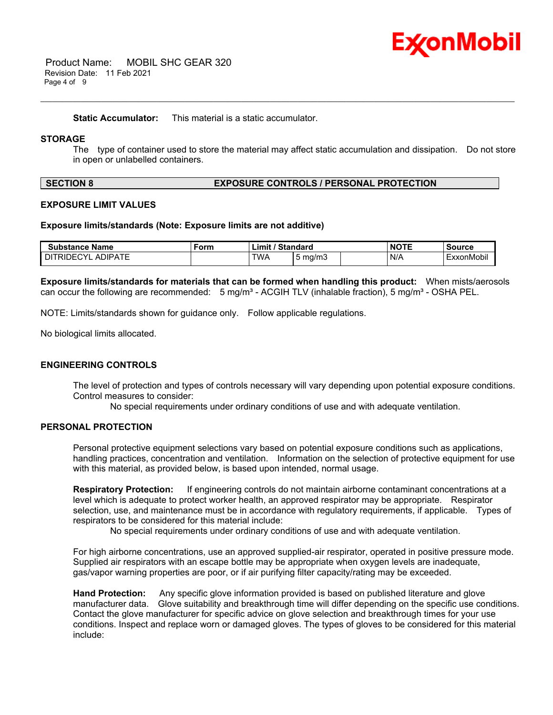

 Product Name: MOBIL SHC GEAR 320 Revision Date: 11 Feb 2021 Page 4 of 9

**Static Accumulator:** This material is a static accumulator.

# **STORAGE**

The type of container used to store the material may affect static accumulation and dissipation. Do not store in open or unlabelled containers.

\_\_\_\_\_\_\_\_\_\_\_\_\_\_\_\_\_\_\_\_\_\_\_\_\_\_\_\_\_\_\_\_\_\_\_\_\_\_\_\_\_\_\_\_\_\_\_\_\_\_\_\_\_\_\_\_\_\_\_\_\_\_\_\_\_\_\_\_\_\_\_\_\_\_\_\_\_\_\_\_\_\_\_\_\_\_\_\_\_\_\_\_\_\_\_\_\_\_\_\_\_\_\_\_\_\_\_\_\_\_\_\_\_\_\_\_\_\_

### **SECTION 8 EXPOSURE CONTROLS / PERSONAL PROTECTION**

#### **EXPOSURE LIMIT VALUES**

#### **Exposure limits/standards (Note: Exposure limits are not additive)**

| <b>Substance Name</b>               | Form | / Standard<br>$\mathsf{Limit}'$ |                  | <b>NOTE</b> | <b>Source</b> |
|-------------------------------------|------|---------------------------------|------------------|-------------|---------------|
| <b>ADIPATE</b><br><b>DITRIDECYL</b> |      | <b>TWA</b>                      | $5 \text{ ma/m}$ | N/A         | ExxonMobil    |

**Exposure limits/standards for materials that can be formed when handling this product:** When mists/aerosols can occur the following are recommended:  $5 \text{ mg/m}^3$  - ACGIH TLV (inhalable fraction),  $5 \text{ mg/m}^3$  - OSHA PEL.

NOTE: Limits/standards shown for guidance only. Follow applicable regulations.

No biological limits allocated.

#### **ENGINEERING CONTROLS**

The level of protection and types of controls necessary will vary depending upon potential exposure conditions. Control measures to consider:

No special requirements under ordinary conditions of use and with adequate ventilation.

# **PERSONAL PROTECTION**

Personal protective equipment selections vary based on potential exposure conditions such as applications, handling practices, concentration and ventilation. Information on the selection of protective equipment for use with this material, as provided below, is based upon intended, normal usage.

**Respiratory Protection:** If engineering controls do not maintain airborne contaminant concentrations at a level which is adequate to protect worker health, an approved respirator may be appropriate. Respirator selection, use, and maintenance must be in accordance with regulatory requirements, if applicable. Types of respirators to be considered for this material include:

No special requirements under ordinary conditions of use and with adequate ventilation.

For high airborne concentrations, use an approved supplied-air respirator, operated in positive pressure mode. Supplied air respirators with an escape bottle may be appropriate when oxygen levels are inadequate, gas/vapor warning properties are poor, or if air purifying filter capacity/rating may be exceeded.

**Hand Protection:** Any specific glove information provided is based on published literature and glove manufacturer data. Glove suitability and breakthrough time will differ depending on the specific use conditions. Contact the glove manufacturer for specific advice on glove selection and breakthrough times for your use conditions. Inspect and replace worn or damaged gloves. The types of gloves to be considered for this material include: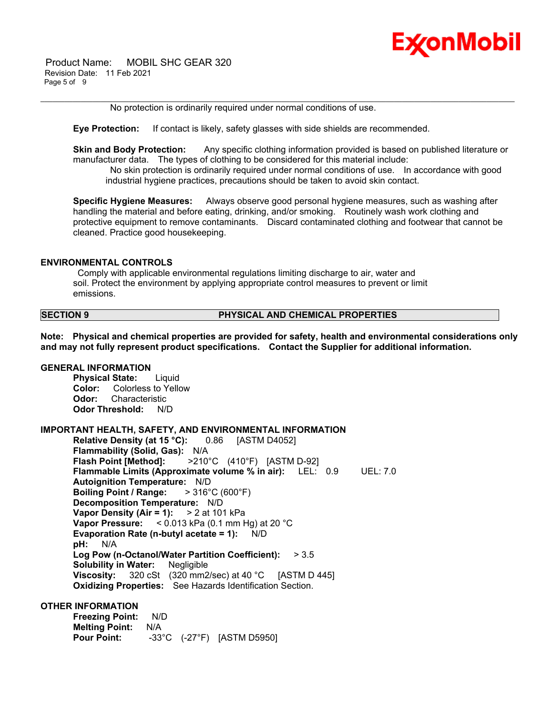

 Product Name: MOBIL SHC GEAR 320 Revision Date: 11 Feb 2021 Page 5 of 9

No protection is ordinarily required under normal conditions of use.

**Eye Protection:** If contact is likely, safety glasses with side shields are recommended.

**Skin and Body Protection:** Any specific clothing information provided is based on published literature or manufacturer data. The types of clothing to be considered for this material include:

\_\_\_\_\_\_\_\_\_\_\_\_\_\_\_\_\_\_\_\_\_\_\_\_\_\_\_\_\_\_\_\_\_\_\_\_\_\_\_\_\_\_\_\_\_\_\_\_\_\_\_\_\_\_\_\_\_\_\_\_\_\_\_\_\_\_\_\_\_\_\_\_\_\_\_\_\_\_\_\_\_\_\_\_\_\_\_\_\_\_\_\_\_\_\_\_\_\_\_\_\_\_\_\_\_\_\_\_\_\_\_\_\_\_\_\_\_\_

 No skin protection is ordinarily required under normal conditions of use. In accordance with good industrial hygiene practices, precautions should be taken to avoid skin contact.

**Specific Hygiene Measures:** Always observe good personal hygiene measures, such as washing after handling the material and before eating, drinking, and/or smoking. Routinely wash work clothing and protective equipment to remove contaminants. Discard contaminated clothing and footwear that cannot be cleaned. Practice good housekeeping.

#### **ENVIRONMENTAL CONTROLS**

 Comply with applicable environmental regulations limiting discharge to air, water and soil. Protect the environment by applying appropriate control measures to prevent or limit emissions.

### **SECTION 9 PHYSICAL AND CHEMICAL PROPERTIES**

**Note: Physical and chemical properties are provided for safety, health and environmental considerations only and may not fully represent product specifications. Contact the Supplier for additional information.**

# **GENERAL INFORMATION**

**Physical State:** Liquid **Color:** Colorless to Yellow **Odor:** Characteristic **Odor Threshold:** N/D

#### **IMPORTANT HEALTH, SAFETY, AND ENVIRONMENTAL INFORMATION**

**Relative Density (at 15 °C):** 0.86 [ASTM D4052] **Flammability (Solid, Gas):** N/A **Flash Point [Method]:** >210°C (410°F) [ASTM D-92] **Flammable Limits (Approximate volume % in air):** LEL: 0.9 UEL: 7.0 **Autoignition Temperature:** N/D **Boiling Point / Range:** > 316°C (600°F) **Decomposition Temperature:** N/D **Vapor Density (Air = 1):** > 2 at 101 kPa **Vapor Pressure:** < 0.013 kPa (0.1 mm Hg) at 20 °C **Evaporation Rate (n-butyl acetate = 1):** N/D **pH:** N/A **Log Pow (n-Octanol/Water Partition Coefficient):** > 3.5 **Solubility in Water:** Negligible **Viscosity:** 320 cSt (320 mm2/sec) at 40 °C [ASTM D 445] **Oxidizing Properties:** See Hazards Identification Section.

### **OTHER INFORMATION**

**Freezing Point:** N/D **Melting Point:** N/A **Pour Point:** -33°C (-27°F) [ASTM D5950]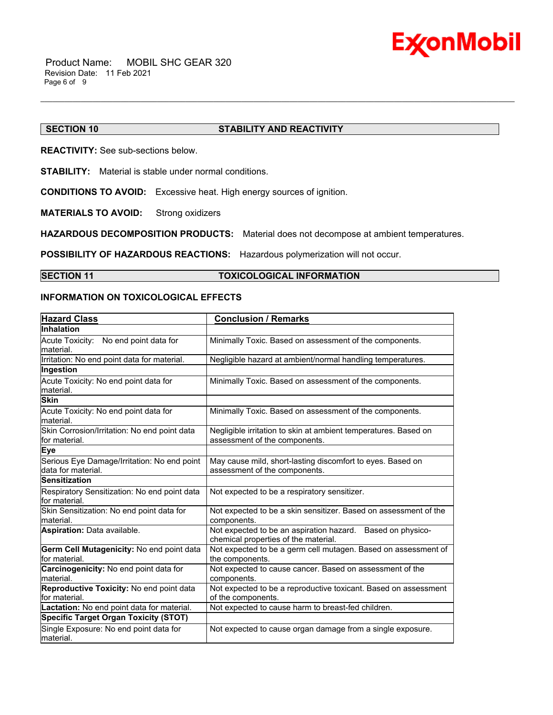

# **SECTION 10 STABILITY AND REACTIVITY**

**REACTIVITY:** See sub-sections below.

**STABILITY:** Material is stable under normal conditions.

**CONDITIONS TO AVOID:** Excessive heat. High energy sources of ignition.

**MATERIALS TO AVOID:** Strong oxidizers

**HAZARDOUS DECOMPOSITION PRODUCTS:** Material does not decompose at ambient temperatures.

**POSSIBILITY OF HAZARDOUS REACTIONS:** Hazardous polymerization will not occur.

### **SECTION 11 TOXICOLOGICAL INFORMATION**

\_\_\_\_\_\_\_\_\_\_\_\_\_\_\_\_\_\_\_\_\_\_\_\_\_\_\_\_\_\_\_\_\_\_\_\_\_\_\_\_\_\_\_\_\_\_\_\_\_\_\_\_\_\_\_\_\_\_\_\_\_\_\_\_\_\_\_\_\_\_\_\_\_\_\_\_\_\_\_\_\_\_\_\_\_\_\_\_\_\_\_\_\_\_\_\_\_\_\_\_\_\_\_\_\_\_\_\_\_\_\_\_\_\_\_\_\_\_

# **INFORMATION ON TOXICOLOGICAL EFFECTS**

| <b>Hazard Class</b>                                               | <b>Conclusion / Remarks</b>                                                                        |
|-------------------------------------------------------------------|----------------------------------------------------------------------------------------------------|
| <b>Inhalation</b>                                                 |                                                                                                    |
| Acute Toxicity: No end point data for<br>lmaterial.               | Minimally Toxic. Based on assessment of the components.                                            |
| Irritation: No end point data for material.                       | Negligible hazard at ambient/normal handling temperatures.                                         |
| Ingestion                                                         |                                                                                                    |
| Acute Toxicity: No end point data for<br>material.                | Minimally Toxic. Based on assessment of the components.                                            |
| <b>Skin</b>                                                       |                                                                                                    |
| Acute Toxicity: No end point data for<br>lmaterial.               | Minimally Toxic. Based on assessment of the components.                                            |
| Skin Corrosion/Irritation: No end point data<br>lfor material.    | Negligible irritation to skin at ambient temperatures. Based on<br>assessment of the components.   |
| Eye                                                               |                                                                                                    |
| Serious Eye Damage/Irritation: No end point<br>data for material. | May cause mild, short-lasting discomfort to eyes. Based on<br>assessment of the components.        |
| <b>Sensitization</b>                                              |                                                                                                    |
| Respiratory Sensitization: No end point data<br>for material.     | Not expected to be a respiratory sensitizer.                                                       |
| Skin Sensitization: No end point data for<br>Imaterial.           | Not expected to be a skin sensitizer. Based on assessment of the<br>components.                    |
| <b>Aspiration: Data available.</b>                                | Not expected to be an aspiration hazard. Based on physico-<br>chemical properties of the material. |
| Germ Cell Mutagenicity: No end point data<br>for material.        | Not expected to be a germ cell mutagen. Based on assessment of<br>the components.                  |
| Carcinogenicity: No end point data for<br>material.               | Not expected to cause cancer. Based on assessment of the<br>components.                            |
| Reproductive Toxicity: No end point data<br>lfor material.        | Not expected to be a reproductive toxicant. Based on assessment<br>of the components.              |
| Lactation: No end point data for material.                        | Not expected to cause harm to breast-fed children.                                                 |
| <b>Specific Target Organ Toxicity (STOT)</b>                      |                                                                                                    |
| Single Exposure: No end point data for<br>material.               | Not expected to cause organ damage from a single exposure.                                         |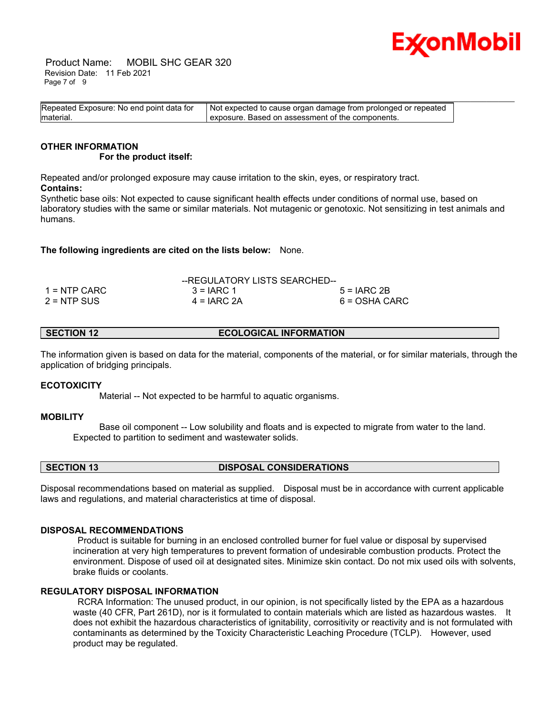

 Product Name: MOBIL SHC GEAR 320 Revision Date: 11 Feb 2021 Page 7 of 9

| Repeated Exposure: No end point data for | Not expected to cause organ damage from prolonged or repeated |  |
|------------------------------------------|---------------------------------------------------------------|--|
| material.                                | exposure. Based on assessment of the components.              |  |

#### **OTHER INFORMATION For the product itself:**

Repeated and/or prolonged exposure may cause irritation to the skin, eyes, or respiratory tract. **Contains:**

Synthetic base oils: Not expected to cause significant health effects under conditions of normal use, based on laboratory studies with the same or similar materials. Not mutagenic or genotoxic. Not sensitizing in test animals and humans.

**The following ingredients are cited on the lists below:** None.

|               | --REGULATORY LISTS SEARCHED-- |               |
|---------------|-------------------------------|---------------|
| 1 = NTP CARC  | $3 = IARC 1$                  | $5 = IARC2B$  |
| $2 = NTP$ SUS | $4 = IARC 2A$                 | 6 = OSHA CARC |

**SECTION 12 ECOLOGICAL INFORMATION** 

The information given is based on data for the material, components of the material, or for similar materials, through the application of bridging principals.

# **ECOTOXICITY**

Material -- Not expected to be harmful to aquatic organisms.

# **MOBILITY**

 Base oil component -- Low solubility and floats and is expected to migrate from water to the land. Expected to partition to sediment and wastewater solids.

**SECTION 13 DISPOSAL CONSIDERATIONS** 

Disposal recommendations based on material as supplied. Disposal must be in accordance with current applicable laws and regulations, and material characteristics at time of disposal.

#### **DISPOSAL RECOMMENDATIONS**

 Product is suitable for burning in an enclosed controlled burner for fuel value or disposal by supervised incineration at very high temperatures to prevent formation of undesirable combustion products. Protect the environment. Dispose of used oil at designated sites. Minimize skin contact. Do not mix used oils with solvents, brake fluids or coolants.

# **REGULATORY DISPOSAL INFORMATION**

 RCRA Information: The unused product, in our opinion, is not specifically listed by the EPA as a hazardous waste (40 CFR, Part 261D), nor is it formulated to contain materials which are listed as hazardous wastes. It does not exhibit the hazardous characteristics of ignitability, corrositivity or reactivity and is not formulated with contaminants as determined by the Toxicity Characteristic Leaching Procedure (TCLP). However, used product may be regulated.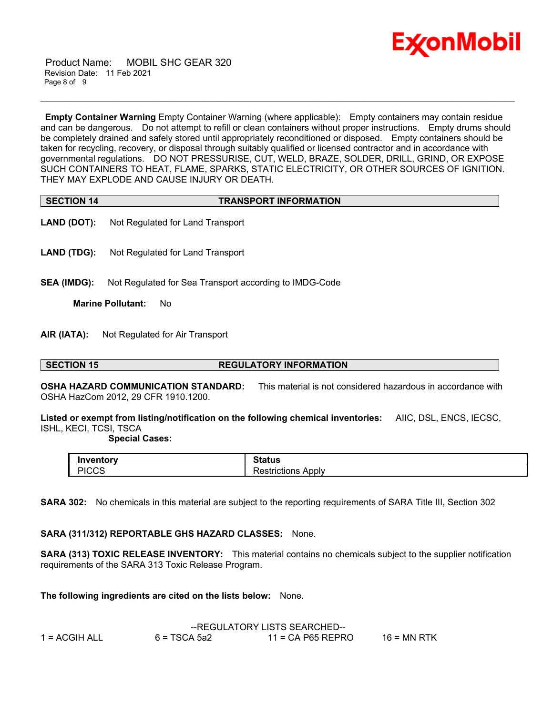

 Product Name: MOBIL SHC GEAR 320 Revision Date: 11 Feb 2021 Page 8 of 9

**Empty Container Warning** Empty Container Warning (where applicable): Empty containers may contain residue and can be dangerous. Do not attempt to refill or clean containers without proper instructions. Empty drums should be completely drained and safely stored until appropriately reconditioned or disposed. Empty containers should be taken for recycling, recovery, or disposal through suitably qualified or licensed contractor and in accordance with governmental regulations. DO NOT PRESSURISE, CUT, WELD, BRAZE, SOLDER, DRILL, GRIND, OR EXPOSE SUCH CONTAINERS TO HEAT, FLAME, SPARKS, STATIC ELECTRICITY, OR OTHER SOURCES OF IGNITION. THEY MAY EXPLODE AND CAUSE INJURY OR DEATH.

\_\_\_\_\_\_\_\_\_\_\_\_\_\_\_\_\_\_\_\_\_\_\_\_\_\_\_\_\_\_\_\_\_\_\_\_\_\_\_\_\_\_\_\_\_\_\_\_\_\_\_\_\_\_\_\_\_\_\_\_\_\_\_\_\_\_\_\_\_\_\_\_\_\_\_\_\_\_\_\_\_\_\_\_\_\_\_\_\_\_\_\_\_\_\_\_\_\_\_\_\_\_\_\_\_\_\_\_\_\_\_\_\_\_\_\_\_\_

| <b>SECTION 14</b> | <b>TRANSPORT INFORMATION</b> |
|-------------------|------------------------------|

- **LAND (DOT):** Not Regulated for Land Transport
- **LAND (TDG):** Not Regulated for Land Transport
- **SEA (IMDG):** Not Regulated for Sea Transport according to IMDG-Code

**Marine Pollutant:** No

**AIR (IATA):** Not Regulated for Air Transport

#### **SECTION 15 REGULATORY INFORMATION**

**OSHA HAZARD COMMUNICATION STANDARD:** This material is not considered hazardous in accordance with OSHA HazCom 2012, 29 CFR 1910.1200.

**Listed or exempt from listing/notification on the following chemical inventories:** AIIC, DSL, ENCS, IECSC, ISHL, KECI, TCSI, TSCA

#### **Special Cases:**

| Inventorv          | $01 - 11$<br>າເaເus                         |
|--------------------|---------------------------------------------|
| <b>PICCS</b><br>ں، | n<br>Apply<br>ataatia wa<br>ncuons<br>GO L. |

**SARA 302:** No chemicals in this material are subject to the reporting requirements of SARA Title III, Section 302

# **SARA (311/312) REPORTABLE GHS HAZARD CLASSES:** None.

**SARA (313) TOXIC RELEASE INVENTORY:** This material contains no chemicals subject to the supplier notification requirements of the SARA 313 Toxic Release Program.

**The following ingredients are cited on the lists below:** None.

|               |                | --REGULATORY LISTS SEARCHED-- |               |  |  |
|---------------|----------------|-------------------------------|---------------|--|--|
| 1 = ACGIH ALL | $6 = TSCA 5a2$ | $11$ = CA P65 REPRO           | $16$ = MN RTK |  |  |